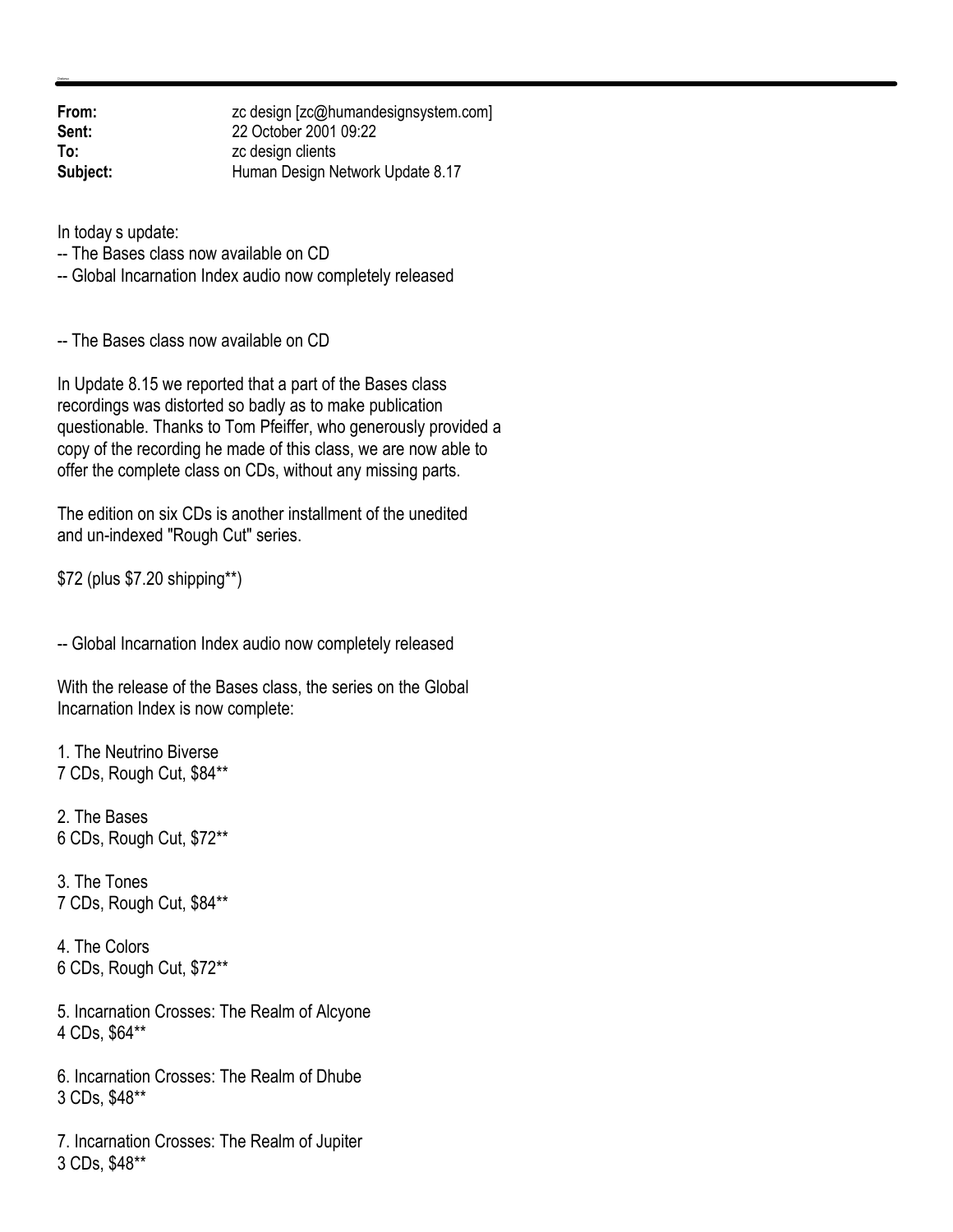| From:    | zc design [zc@humandesignsystem.com] |
|----------|--------------------------------------|
| Sent:    | 22 October 2001 09:22                |
| To:      | zc design clients                    |
| Subject: | Human Design Network Update 8.17     |

In today s update:

-- The Bases class now available on CD

-- Global Incarnation Index audio now completely released

-- The Bases class now available on CD

In Update 8.15 we reported that a part of the Bases class recordings was distorted so badly as to make publication questionable. Thanks to Tom Pfeiffer, who generously provided a copy of the recording he made of this class, we are now able to offer the complete class on CDs, without any missing parts.

The edition on six CDs is another installment of the unedited and un-indexed "Rough Cut" series.

\$72 (plus \$7.20 shipping\*\*)

-- Global Incarnation Index audio now completely released

With the release of the Bases class, the series on the Global Incarnation Index is now complete:

1. The Neutrino Biverse 7 CDs, Rough Cut, \$84\*\*

2. The Bases 6 CDs, Rough Cut, \$72\*\*

3. The Tones 7 CDs, Rough Cut, \$84\*\*

4. The Colors 6 CDs, Rough Cut, \$72\*\*

5. Incarnation Crosses: The Realm of Alcyone 4 CDs, \$64\*\*

6. Incarnation Crosses: The Realm of Dhube 3 CDs, \$48\*\*

7. Incarnation Crosses: The Realm of Jupiter 3 CDs, \$48\*\*